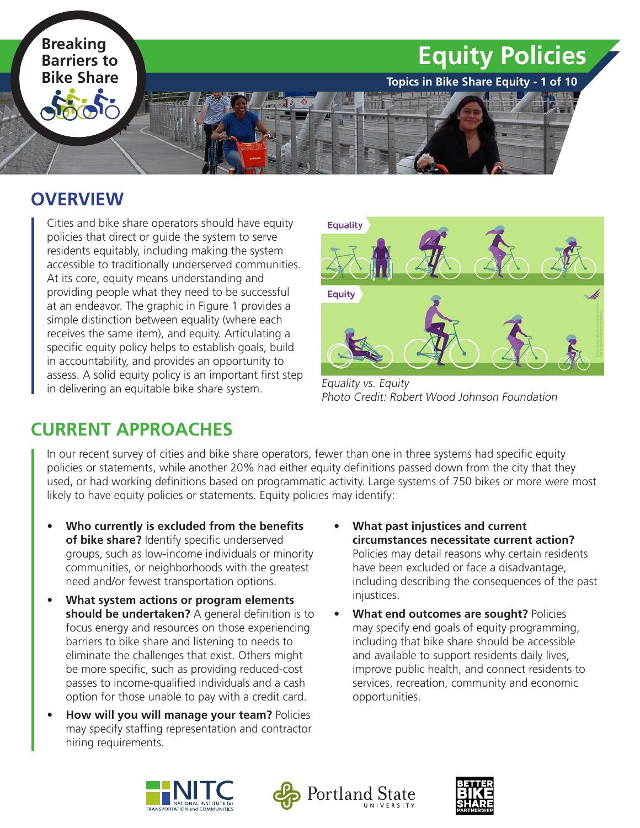

#### **OVERVIEW**

Cities and bike share operators should have equity policies that direct or guide the system to serve residents equitably, including making the system accessible to traditionally underserved communities. At its core, equity means understanding and providing people what they need to be successful at an endeavor. The graphic in Figure 1 provides a simple distinction between equality (where each receives the same item), and equity. Articulating a specific equity policy helps to establish goals, build in accountability, and provides an opportunity to assess. A solid equity policy is an important first step in delivering an equitable bike share system.



Equality vs. Equity Photo Credit: Robert Wood Johnson Foundation

## **CURRENT APPROACHES**

In our recent survey of cities and bike share operators, fewer than one in three systems had specific equity policies or statements, while another 20% had either equity definitions passed down from the city that they used, or had working definitions based on programmatic activity. Large systems of 750 bikes or more were most likely to have equity policies or statements. Equity policies may identify:

- **• Who currently is excluded from the benefits of bike share?** Identify specific underserved groups, such as low-income individuals or minority communities, or neighborhoods with the greatest need and/or fewest transportation options.
- **• What system actions or program elements should be undertaken?** A general definition is to focus energy and resources on those experiencing barriers to bike share and listening to needs to eliminate the challenges that exist. Others might be more specific, such as providing reduced-cost passes to income-qualified individuals and a cash option for those unable to pay with a credit card.
- **• How will you will manage your team?** Policies may specify staffing representation and contractor hiring requirements.
- **• What past injustices and current circumstances necessitate current action?**  Policies may detail reasons why certain residents have been excluded or face a disadvantage, including describing the consequences of the past injustices.
- **• What end outcomes are sought?** Policies may specify end goals of equity programming, including that bike share should be accessible and available to support residents daily lives, improve public health, and connect residents to services, recreation, community and economic opportunities.